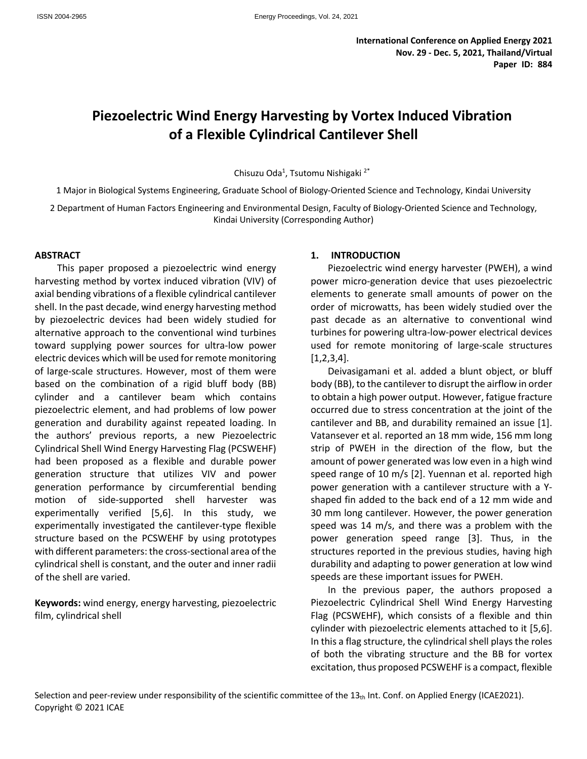# **Piezoelectric Wind Energy Harvesting by Vortex Induced Vibration of a Flexible Cylindrical Cantilever Shell**

Chisuzu Oda<sup>1</sup>, Tsutomu Nishigaki<sup>2\*</sup>

1 Major in Biological Systems Engineering, Graduate School of Biology-Oriented Science and Technology, Kindai University

2 Department of Human Factors Engineering and Environmental Design, Faculty of Biology-Oriented Science and Technology, Kindai University (Corresponding Author)

## **ABSTRACT**

This paper proposed a piezoelectric wind energy harvesting method by vortex induced vibration (VIV) of axial bending vibrations of a flexible cylindrical cantilever shell. In the past decade, wind energy harvesting method by piezoelectric devices had been widely studied for alternative approach to the conventional wind turbines toward supplying power sources for ultra-low power electric devices which will be used for remote monitoring of large-scale structures. However, most of them were based on the combination of a rigid bluff body (BB) cylinder and a cantilever beam which contains piezoelectric element, and had problems of low power generation and durability against repeated loading. In the authors' previous reports, a new Piezoelectric Cylindrical Shell Wind Energy Harvesting Flag (PCSWEHF) had been proposed as a flexible and durable power generation structure that utilizes VIV and power generation performance by circumferential bending motion of side-supported shell harvester was experimentally verified [5,6]. In this study, we experimentally investigated the cantilever-type flexible structure based on the PCSWEHF by using prototypes with different parameters: the cross-sectional area of the cylindrical shell is constant, and the outer and inner radii of the shell are varied.

**Keywords:** wind energy, energy harvesting, piezoelectric film, cylindrical shell

## **1. INTRODUCTION**

Piezoelectric wind energy harvester (PWEH), a wind power micro-generation device that uses piezoelectric elements to generate small amounts of power on the order of microwatts, has been widely studied over the past decade as an alternative to conventional wind turbines for powering ultra-low-power electrical devices used for remote monitoring of large-scale structures [1,2,3,4].

Deivasigamani et al. added a blunt object, or bluff body (BB), to the cantilever to disrupt the airflow in order to obtain a high power output. However, fatigue fracture occurred due to stress concentration at the joint of the cantilever and BB, and durability remained an issue [1]. Vatansever et al. reported an 18 mm wide, 156 mm long strip of PWEH in the direction of the flow, but the amount of power generated was low even in a high wind speed range of 10 m/s [2]. Yuennan et al. reported high power generation with a cantilever structure with a Yshaped fin added to the back end of a 12 mm wide and 30 mm long cantilever. However, the power generation speed was 14 m/s, and there was a problem with the power generation speed range [3]. Thus, in the structures reported in the previous studies, having high durability and adapting to power generation at low wind speeds are these important issues for PWEH.

In the previous paper, the authors proposed a Piezoelectric Cylindrical Shell Wind Energy Harvesting Flag (PCSWEHF), which consists of a flexible and thin cylinder with piezoelectric elements attached to it [5,6]. In this a flag structure, the cylindrical shell plays the roles of both the vibrating structure and the BB for vortex excitation, thus proposed PCSWEHF is a compact, flexible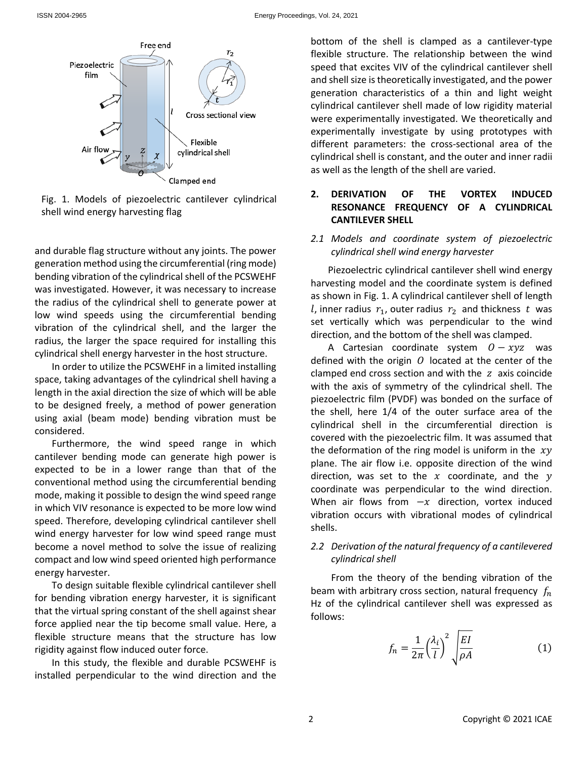

Fig. 1. Models of piezoelectric cantilever cylindrical shell wind energy harvesting flag

and durable flag structure without any joints. The power generation method using the circumferential (ring mode) bending vibration of the cylindrical shell of the PCSWEHF was investigated. However, it was necessary to increase the radius of the cylindrical shell to generate power at low wind speeds using the circumferential bending vibration of the cylindrical shell, and the larger the radius, the larger the space required for installing this cylindrical shell energy harvester in the host structure.

In order to utilize the PCSWEHF in a limited installing space, taking advantages of the cylindrical shell having a length in the axial direction the size of which will be able to be designed freely, a method of power generation using axial (beam mode) bending vibration must be considered.

Furthermore, the wind speed range in which cantilever bending mode can generate high power is expected to be in a lower range than that of the conventional method using the circumferential bending mode, making it possible to design the wind speed range in which VIV resonance is expected to be more low wind speed. Therefore, developing cylindrical cantilever shell wind energy harvester for low wind speed range must become a novel method to solve the issue of realizing compact and low wind speed oriented high performance energy harvester.

To design suitable flexible cylindrical cantilever shell for bending vibration energy harvester, it is significant that the virtual spring constant of the shell against shear force applied near the tip become small value. Here, a flexible structure means that the structure has low rigidity against flow induced outer force.

In this study, the flexible and durable PCSWEHF is installed perpendicular to the wind direction and the bottom of the shell is clamped as a cantilever-type flexible structure. The relationship between the wind speed that excites VIV of the cylindrical cantilever shell and shell size is theoretically investigated, and the power generation characteristics of a thin and light weight cylindrical cantilever shell made of low rigidity material were experimentally investigated. We theoretically and experimentally investigate by using prototypes with different parameters: the cross-sectional area of the cylindrical shell is constant, and the outer and inner radii as well as the length of the shell are varied.

- **2. DERIVATION OF THE VORTEX INDUCED RESONANCE FREQUENCY OF A CYLINDRICAL CANTILEVER SHELL**
- *2.1 Models and coordinate system of piezoelectric cylindrical shell wind energy harvester*

Piezoelectric cylindrical cantilever shell wind energy harvesting model and the coordinate system is defined as shown in Fig. 1. A cylindrical cantilever shell of length *l*, inner radius  $r_1$ , outer radius  $r_2$  and thickness t was set vertically which was perpendicular to the wind direction, and the bottom of the shell was clamped.

A Cartesian coordinate system  $0 - xyz$  was defined with the origin  $\theta$  located at the center of the clamped end cross section and with the  $z$  axis coincide with the axis of symmetry of the cylindrical shell. The piezoelectric film (PVDF) was bonded on the surface of the shell, here 1/4 of the outer surface area of the cylindrical shell in the circumferential direction is covered with the piezoelectric film. It was assumed that the deformation of the ring model is uniform in the  $xy$ plane. The air flow i.e. opposite direction of the wind direction, was set to the  $x$  coordinate, and the  $y$ coordinate was perpendicular to the wind direction. When air flows from  $-x$  direction, vortex induced vibration occurs with vibrational modes of cylindrical shells.

# *2.2 Derivation of the natural frequency of a cantilevered cylindrical shell*

From the theory of the bending vibration of the beam with arbitrary cross section, natural frequency  $f_n$ Hz of the cylindrical cantilever shell was expressed as follows:

$$
f_n = \frac{1}{2\pi} \left(\frac{\lambda_i}{l}\right)^2 \sqrt{\frac{EI}{\rho A}}
$$
 (1)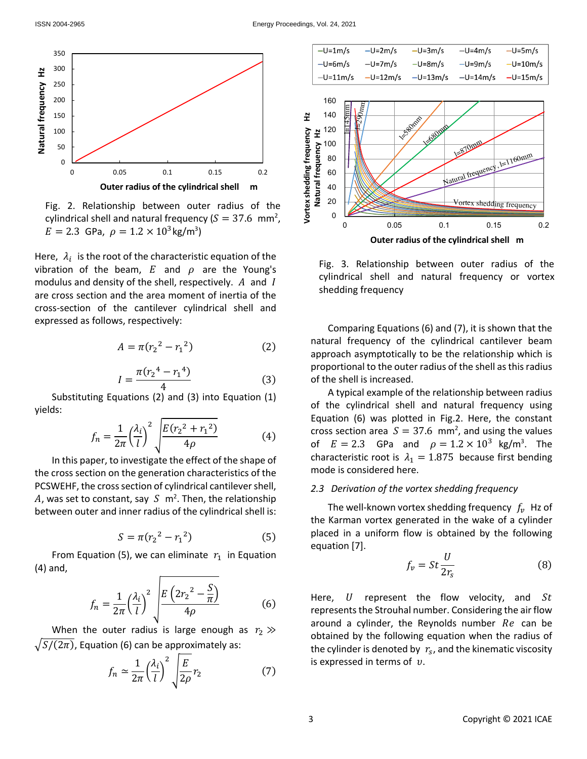

Fig. 2. Relationship between outer radius of the cylindrical shell and natural frequency ( $S = 37.6$  mm<sup>2</sup>,  $E = 2.3$  GPa,  $\rho = 1.2 \times 10^3 \text{kg/m}^3$ 

Here,  $\lambda_i$  is the root of the characteristic equation of the vibration of the beam,  $E$  and  $\rho$  are the Young's modulus and density of the shell, respectively.  $A$  and  $I$ are cross section and the area moment of inertia of the cross-section of the cantilever cylindrical shell and expressed as follows, respectively:

$$
A = \pi (r_2^2 - r_1^2) \tag{2}
$$

$$
I = \frac{\pi (r_2^4 - r_1^4)}{4} \tag{3}
$$

Substituting Equations (2) and (3) into Equation (1) yields:

$$
f_n = \frac{1}{2\pi} \left(\frac{\lambda_i}{l}\right)^2 \sqrt{\frac{E(r_2^2 + r_1^2)}{4\rho}}
$$
(4)

In this paper, to investigate the effect of the shape of the cross section on the generation characteristics of the PCSWEHF, the cross section of cylindrical cantilever shell, A, was set to constant, say S  $\,$  m<sup>2</sup>. Then, the relationship between outer and inner radius of the cylindrical shell is:

$$
S = \pi (r_2^2 - r_1^2) \tag{5}
$$

From Equation (5), we can eliminate  $r_1$  in Equation (4) and,

$$
f_n = \frac{1}{2\pi} \left(\frac{\lambda_i}{l}\right)^2 \sqrt{\frac{E\left(2r_2^2 - \frac{S}{\pi}\right)}{4\rho}}
$$
 (6)

When the outer radius is large enough as  $r_2 \gg$  $\sqrt{S/(2\pi)}$ , Equation (6) can be approximately as:

$$
f_n \simeq \frac{1}{2\pi} \left(\frac{\lambda_i}{l}\right)^2 \sqrt{\frac{E}{2\rho}} r_2 \tag{7}
$$





Fig. 3. Relationship between outer radius of the cylindrical shell and natural frequency or vortex shedding frequency

Comparing Equations (6) and (7), it is shown that the natural frequency of the cylindrical cantilever beam approach asymptotically to be the relationship which is proportional to the outer radius of the shell as this radius of the shell is increased.

A typical example of the relationship between radius of the cylindrical shell and natural frequency using Equation (6) was plotted in Fig.2. Here, the constant cross section area  $S = 37.6$  mm<sup>2</sup>, and using the values of  $E = 2.3$  GPa and  $\rho = 1.2 \times 10^3$  kg/m<sup>3</sup>. The characteristic root is  $\lambda_1 = 1.875$  because first bending mode is considered here.

#### *2.3 Derivation of the vortex shedding frequency*

The well-known vortex shedding frequency  $f_n$ . Hz of the Karman vortex generated in the wake of a cylinder placed in a uniform flow is obtained by the following equation [7].

$$
f_v = St \frac{U}{2r_s} \tag{8}
$$

Here,  $U$  represent the flow velocity, and  $St$ represents the Strouhal number. Considering the air flow around a cylinder, the Reynolds number  $Re$  can be obtained by the following equation when the radius of the cylinder is denoted by  $r<sub>s</sub>$ , and the kinematic viscosity is expressed in terms of  $v$ .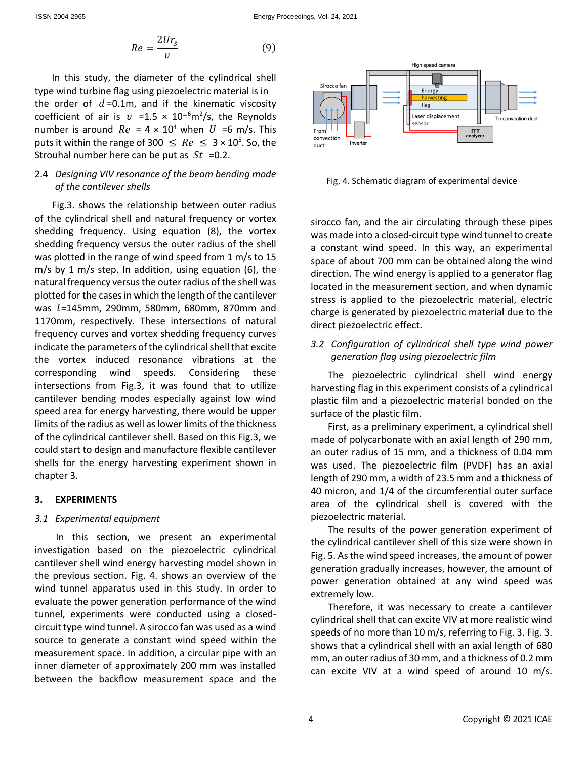$$
Re = \frac{2Ur_s}{v} \tag{9}
$$

In this study, the diameter of the cylindrical shell type wind turbine flag using piezoelectric material is in the order of  $d = 0.1$ m, and if the kinematic viscosity coefficient of air is  $v = 1.5 \times 10^{-6} \text{m}^2/\text{s}$ , the Reynolds number is around  $Re = 4 \times 10^4$  when U =6 m/s. This puts it within the range of 300  $\leq$  Re  $\leq$  3  $\times$  10<sup>5</sup>. So, the Strouhal number here can be put as  $St = 0.2$ .

# 2.4 *Designing VIV resonance of the beam bending mode of the cantilever shells*

Fig.3. shows the relationship between outer radius of the cylindrical shell and natural frequency or vortex shedding frequency. Using equation (8), the vortex shedding frequency versus the outer radius of the shell was plotted in the range of wind speed from 1 m/s to 15 m/s by 1 m/s step. In addition, using equation (6), the natural frequency versus the outer radius of the shell was plotted for the cases in which the length of the cantilever was  $l = 145$ mm, 290mm, 580mm, 680mm, 870mm and 1170mm, respectively. These intersections of natural frequency curves and vortex shedding frequency curves indicate the parameters of the cylindrical shell that excite the vortex induced resonance vibrations at the corresponding wind speeds. Considering these intersections from Fig.3, it was found that to utilize cantilever bending modes especially against low wind speed area for energy harvesting, there would be upper limits of the radius as well as lower limits of the thickness of the cylindrical cantilever shell. Based on this Fig.3, we could start to design and manufacture flexible cantilever shells for the energy harvesting experiment shown in chapter 3.

## **3. EXPERIMENTS**

#### *3.1 Experimental equipment*

In this section, we present an experimental investigation based on the piezoelectric cylindrical cantilever shell wind energy harvesting model shown in the previous section. Fig. 4. shows an overview of the wind tunnel apparatus used in this study. In order to evaluate the power generation performance of the wind tunnel, experiments were conducted using a closedcircuit type wind tunnel. A sirocco fan was used as a wind source to generate a constant wind speed within the measurement space. In addition, a circular pipe with an inner diameter of approximately 200 mm was installed between the backflow measurement space and the



Fig. 4. Schematic diagram of experimental device

sirocco fan, and the air circulating through these pipes was made into a closed-circuit type wind tunnel to create a constant wind speed. In this way, an experimental space of about 700 mm can be obtained along the wind direction. The wind energy is applied to a generator flag located in the measurement section, and when dynamic stress is applied to the piezoelectric material, electric charge is generated by piezoelectric material due to the direct piezoelectric effect.

# *3.2 Configuration of cylindrical shell type wind power generation flag using piezoelectric film*

The piezoelectric cylindrical shell wind energy harvesting flag in this experiment consists of a cylindrical plastic film and a piezoelectric material bonded on the surface of the plastic film.

First, as a preliminary experiment, a cylindrical shell made of polycarbonate with an axial length of 290 mm, an outer radius of 15 mm, and a thickness of 0.04 mm was used. The piezoelectric film (PVDF) has an axial length of 290 mm, a width of 23.5 mm and a thickness of 40 micron, and 1/4 of the circumferential outer surface area of the cylindrical shell is covered with the piezoelectric material.

The results of the power generation experiment of the cylindrical cantilever shell of this size were shown in Fig. 5. As the wind speed increases, the amount of power generation gradually increases, however, the amount of power generation obtained at any wind speed was extremely low.

Therefore, it was necessary to create a cantilever cylindrical shell that can excite VIV at more realistic wind speeds of no more than 10 m/s, referring to Fig. 3. Fig. 3. shows that a cylindrical shell with an axial length of 680 mm, an outer radius of 30 mm, and a thickness of 0.2 mm can excite VIV at a wind speed of around 10 m/s.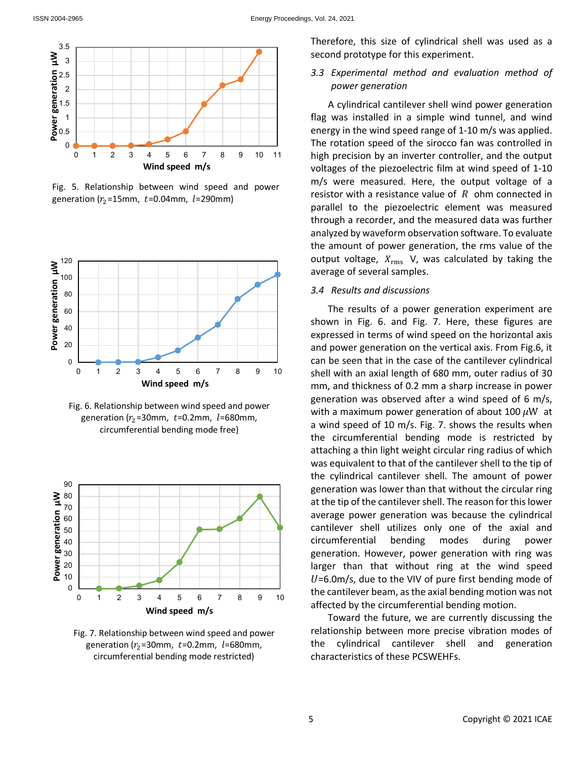

Fig. 5. Relationship between wind speed and power generation ( $r_2$ =15mm, t=0.04mm, l=290mm)



Fig. 6. Relationship between wind speed and power generation ( $r<sub>2</sub>$ =30mm,  $t$ =0.2mm,  $l$ =680mm, circumferential bending mode free)



Fig. 7. Relationship between wind speed and power generation ( $r<sub>2</sub>$ =30mm,  $t$ =0.2mm,  $l$ =680mm, circumferential bending mode restricted)

Therefore, this size of cylindrical shell was used as a second prototype for this experiment.

*3.3 Experimental method and evaluation method of power generation*

A cylindrical cantilever shell wind power generation flag was installed in a simple wind tunnel, and wind energy in the wind speed range of 1-10 m/s was applied. The rotation speed of the sirocco fan was controlled in high precision by an inverter controller, and the output voltages of the piezoelectric film at wind speed of 1-10 m/s were measured. Here, the output voltage of a resistor with a resistance value of  $R$  ohm connected in parallel to the piezoelectric element was measured through a recorder, and the measured data was further analyzed by waveform observation software. To evaluate the amount of power generation, the rms value of the output voltage,  $X_{\text{rms}}$  V, was calculated by taking the average of several samples.

## *3.4 Results and discussions*

The results of a power generation experiment are shown in Fig. 6. and Fig. 7. Here, these figures are expressed in terms of wind speed on the horizontal axis and power generation on the vertical axis. From Fig.6, it can be seen that in the case of the cantilever cylindrical shell with an axial length of 680 mm, outer radius of 30 mm, and thickness of 0.2 mm a sharp increase in power generation was observed after a wind speed of 6 m/s, with a maximum power generation of about 100  $\mu$ W at a wind speed of 10 m/s. Fig. 7. shows the results when the circumferential bending mode is restricted by attaching a thin light weight circular ring radius of which was equivalent to that of the cantilever shell to the tip of the cylindrical cantilever shell. The amount of power generation was lower than that without the circular ring at the tip of the cantilever shell. The reason for this lower average power generation was because the cylindrical cantilever shell utilizes only one of the axial and circumferential bending modes during power generation. However, power generation with ring was larger than that without ring at the wind speed  $U=6.0$ m/s, due to the VIV of pure first bending mode of the cantilever beam, as the axial bending motion was not affected by the circumferential bending motion.

Toward the future, we are currently discussing the relationship between more precise vibration modes of the cylindrical cantilever shell and generation characteristics of these PCSWEHFs.